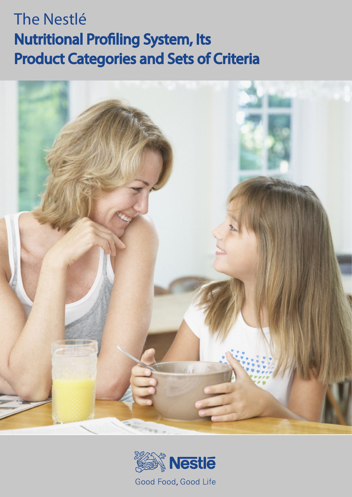# The Nestlé Nutritional Profiling System, Its Product Categories and Sets of Criteria



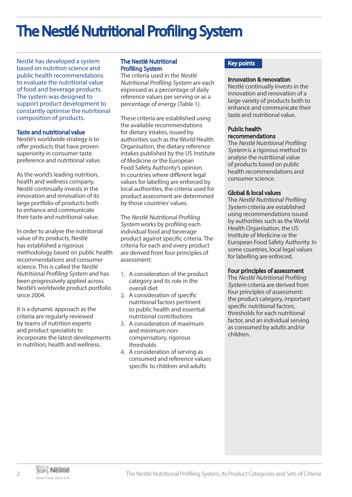# The Nestlé Nutritional Profiling System

Nestlé has developed a system based on nutrition science and public health recommendations to evaluate the nutritional value of food and beverage products. The system was designed to support product development to constantly optimise the nutritional composition of products.

#### Taste and nutritional value

Nestlé's worldwide strategy is to offer products that have proven superiority in consumer taste preference and nutritional value.

As the world's leading nutrition, health and wellness company, Nestlé continually invests in the innovation and renovation of its large portfolio of products both to enhance and communicate their taste and nutritional value.

In order to analyse the nutritional value of its products, Nestlé has established a rigorous methodology based on public health recommendations and consumer science. This is called the Nestlé Nutritional Profiling System and has been progressively applied across Nestlé's worldwide product portfolio since 2004.

It is a dynamic approach as the criteria are regularly reviewed by teams of nutrition experts and product specialists to incorporate the latest developments in nutrition, health and wellness.

#### The Nestlé Nutritional Profiling System

The criteria used in the Nestlé Nutritional Profiling System are each expressed as a percentage of daily reference values per serving or as a percentage of energy (Table 1).

These criteria are established using the available recommendations for dietary intakes, issued by authorities such as the World Health Organisation, the dietary reference intakes published by the US Institute of Medicine or the European Food Safety Authority's opinion. In countries where different legal values for labelling are enforced by local authorities, the criteria used for product assessment are determined by those countries' values.

The Nestlé Nutritional Profiling System works by profiling each individual food and beverage product against specific criteria. The criteria for each and every product are derived from four principles of assessment:

- 1. A consideration of the product category and its role in the overall diet
- 2. A consideration of specific nutritional factors pertinent to public health and essential nutritional contributions
- 3. A consideration of maximum and minimum noncompensatory, rigorous thresholds
- 4. A consideration of serving as consumed and reference values specific to children and adults

### Key points

#### Innovation & renovation

Nestlé continually invests in the innovation and renovation of a large variety of products both to enhance and communicate their taste and nutritional value.

#### Public health recommendations

The Nestlé Nutritional Profiling System is a rigorous method to analyse the nutritional value of products based on public health recommendations and consumer science.

#### Global & local values

The Nestlé Nutritional Profiling System criteria are established using recommendations issued by authorities such as the World Health Organisation, the US Institute of Medicine or the European Food Safety Authority. In some countries, local legal values for labelling are enforced.

#### Four principles of assessment

The Nestlé Nutritional Profiling System criteria are derived from four principles of assessment: the product category, important specific nutritional factors, thresholds for each nutritional factor, and an individual serving as consumed by adults and/or children.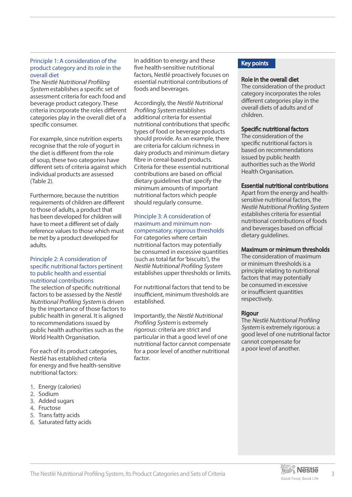#### Principle 1: A consideration of the product category and its role in the overall diet

The Nestlé Nutritional Profiling System establishes a specific set of assessment criteria for each food and beverage product category. These criteria incorporate the roles different categories play in the overall diet of a specific consumer.

For example, since nutrition experts recognise that the role of yogurt in the diet is different from the role of soup, these two categories have different sets of criteria against which individual products are assessed (Table 2).

Furthermore, because the nutrition requirements of children are different to those of adults, a product that has been developed for children will have to meet a different set of daily reference values to those which must be met by a product developed for adults.

#### Principle 2: A consideration of specific nutritional factors pertinent to public health and essential nutritional contributions

The selection of specific nutritional factors to be assessed by the Nestlé Nutritional Profiling System is driven by the importance of those factors to public health in general. It is aligned to recommendations issued by public health authorities such as the World Health Organisation.

For each of its product categories, Nestlé has established criteria for energy and five health-sensitive nutritional factors:

- 1. Energy (calories)
- 2. Sodium
- 3. Added sugars
- 4. Fructose
- 5. Trans fatty acids
- 6. Saturated fatty acids

In addition to energy and these five health-sensitive nutritional factors, Nestlé proactively focuses on essential nutritional contributions of foods and beverages.

Accordingly, the Nestlé Nutritional Profiling System establishes additional criteria for essential nutritional contributions that specific types of food or beverage products should provide. As an example, there are criteria for calcium richness in dairy products and minimum dietary fibre in cereal-based products. Criteria for these essential nutritional contributions are based on official dietary guidelines that specify the minimum amounts of important nutritional factors which people should regularly consume.

### Principle 3: A consideration of maximum and minimum noncompensatory, rigorous thresholds

For categories where certain nutritional factors may potentially be consumed in excessive quantities (such as total fat for 'biscuits'), the Nestlé Nutritional Profiling System establishes upper thresholds or limits.

For nutritional factors that tend to be insufficient, minimum thresholds are established.

Importantly, the Nestlé Nutritional Profiling System is extremely rigorous: criteria are strict and particular in that a good level of one nutritional factor cannot compensate for a poor level of another nutritional factor.

### Key points

#### Role in the overall diet

The consideration of the product category incorporates the roles different categories play in the overall diets of adults and of children.

### Specific nutritional factors

The consideration of the specific nutritional factors is based on recommendations issued by public health authorities such as the World Health Organisation.

#### Essential nutritional contributions

Apart from the energy and healthsensitive nutritional factors, the Nestlé Nutritional Profiling System establishes criteria for essential nutritional contributions of foods and beverages based on official dietary guidelines.

#### Maximum or minimum thresholds

The consideration of maximum or minimum thresholds is a principle relating to nutritional factors that may potentially be consumed in excessive or insufficient quantities respectively.

#### Rigour

The Nestlé Nutritional Profiling System is extremely rigorous: a good level of one nutritional factor cannot compensate for a poor level of another.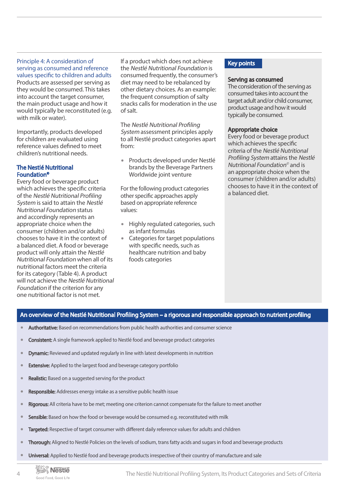#### Principle 4: A consideration of serving as consumed and reference values specific to children and adults

Products are assessed per serving as they would be consumed. This takes into account the target consumer, the main product usage and how it would typically be reconstituted (e.g. with milk or water).

Importantly, products developed for children are evaluated using reference values defined to meet children's nutritional needs.

#### The Nestlé Nutritional Foundation©

Every food or beverage product which achieves the specific criteria of the Nestlé Nutritional Profiling System is said to attain the Nestlé Nutritional Foundation status and accordingly represents an appropriate choice when the consumer (children and/or adults) chooses to have it in the context of a balanced diet. A food or beverage product will only attain the Nestlé Nutritional Foundation when all of its nutritional factors meet the criteria for its category (Table 4). A product will not achieve the Nestlé Nutritional Foundation if the criterion for any one nutritional factor is not met.

If a product which does not achieve the Nestlé Nutritional Foundation is consumed frequently, the consumer's diet may need to be rebalanced by other dietary choices. As an example: the frequent consumption of salty snacks calls for moderation in the use of salt.

The Nestlé Nutritional Profiling System assessment principles apply to all Nestlé product categories apart from:

**∙** Products developed under Nestlé brands by the Beverage Partners Worldwide joint venture

For the following product categories other specific approaches apply based on appropriate reference values:

- **∙** Highly regulated categories, such as infant formulas
- **∙** Categories for target populations with specific needs, such as healthcare nutrition and baby foods categories

### Key points

#### Serving as consumed

The consideration of the serving as consumed takes into account the target adult and/or child consumer, product usage and how it would typically be consumed.

### Appropriate choice

Every food or beverage product which achieves the specific criteria of the Nestlé Nutritional Profiling System attains the Nestlé Nutritional Foundation© and is an appropriate choice when the consumer (children and/or adults) chooses to have it in the context of a balanced diet.

### An overview of the Nestlé Nutritional Profiling System – a rigorous and responsible approach to nutrient profiling

- **∙** Authoritative: Based on recommendations from public health authorities and consumer science
- **∙** Consistent: A single framework applied to Nestlé food and beverage product categories
- **∙** Dynamic: Reviewed and updated regularly in line with latest developments in nutrition
- **Extensive:** Applied to the largest food and beverage category portfolio
- **∙** Realistic: Based on a suggested serving for the product
- **Responsible:** Addresses energy intake as a sensitive public health issue
- **∙** Rigorous: All criteria have to be met; meeting one criterion cannot compensate for the failure to meet another
- **Sensible:** Based on how the food or beverage would be consumed e.g. reconstituted with milk
- **∙** Targeted: Respective of target consumer with different daily reference values for adults and children
- **∙** Thorough: Aligned to Nestlé Policies on the levels of sodium, trans fatty acids and sugars in food and beverage products
- **∙** Universal: Applied to Nestlé food and beverage products irrespective of their country of manufacture and sale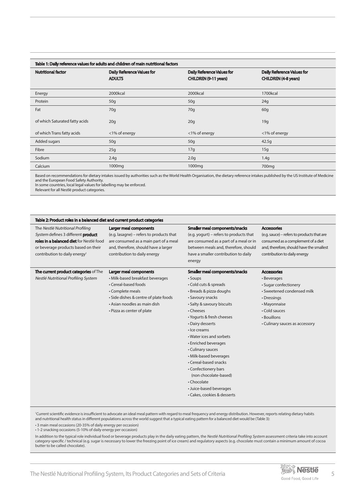|                                | Table 1: Daily reference values for adults and children of main nutritional factors |                                                            |                                                                  |
|--------------------------------|-------------------------------------------------------------------------------------|------------------------------------------------------------|------------------------------------------------------------------|
| <b>Nutritional factor</b>      | <b>Daily Reference Values for</b><br><b>ADULTS</b>                                  | <b>Daily Reference Values for</b><br>CHILDREN (9-11 years) | <b>Daily Reference Values for</b><br><b>CHILDREN (4-8 years)</b> |
| Energy                         | 2000kcal                                                                            | 2000kcal                                                   | 1700kcal                                                         |
| Protein                        | 50q                                                                                 | 50 <sub>g</sub>                                            | 24g                                                              |
| Fat                            | 70q                                                                                 | 70q                                                        | 60q                                                              |
| of which Saturated fatty acids | 20q                                                                                 | 20q                                                        | 19q                                                              |
| of which Trans fatty acids     | <1% of energy                                                                       | <1% of energy                                              | <1% of energy                                                    |
| Added sugars                   | 50q                                                                                 | 50 <sub>g</sub>                                            | 42.5q                                                            |
| Fibre                          | 25g                                                                                 | 17g                                                        | 15g                                                              |
| Sodium                         | 2.4q                                                                                | 2.0 <sub>g</sub>                                           | 1.4q                                                             |
| Calcium                        | 1000mg                                                                              | 1000 <sub>mg</sub>                                         | 700 <sub>mg</sub>                                                |

Based on recommendations for dietary intakes issued by authorities such as the World Health Organisation, the dietary reference intakes published by the US Institute of Medicine and the European Food Safety Authority.

In some countries, local legal values for labelling may be enforced.

Relevant for all Nestlé product categories.

| Table 2: Product roles in a balanced diet and current product categories                                                                                                                               |                                                                                                                                                                                                               |                                                                                                                                                                                                                                                                                                                                                                                                                                                                                     |                                                                                                                                                                                           |
|--------------------------------------------------------------------------------------------------------------------------------------------------------------------------------------------------------|---------------------------------------------------------------------------------------------------------------------------------------------------------------------------------------------------------------|-------------------------------------------------------------------------------------------------------------------------------------------------------------------------------------------------------------------------------------------------------------------------------------------------------------------------------------------------------------------------------------------------------------------------------------------------------------------------------------|-------------------------------------------------------------------------------------------------------------------------------------------------------------------------------------------|
| The Nestlé Nutritional Profiling<br>System defines 3 different product<br>roles in a balanced diet for Nestlé food<br>or beverage products based on their<br>contribution to daily energy <sup>1</sup> | Larger meal components<br>(e.g. lasagne) - refers to products that<br>are consumed as a main part of a meal<br>and, therefore, should have a larger<br>contribution to daily energy                           | Smaller meal components/snacks<br>(e.g. yogurt) – refers to products that<br>are consumed as a part of a meal or in<br>between meals and, therefore, should<br>have a smaller contribution to daily<br>energy                                                                                                                                                                                                                                                                       | <b>Accessories</b><br>(e.g. sauce) - refers to products that are<br>consumed as a complement of a diet<br>and, therefore, should have the smallest<br>contribution to daily energy        |
| The current product categories of The<br>Nestlé Nutritional Profiling System                                                                                                                           | Larger meal components<br>· Milk-based breakfast beverages<br>• Cereal-based foods<br>• Complete meals<br>· Side dishes & centre of plate foods<br>• Asian noodles as main dish<br>• Pizza as center of plate | Smaller meal components/snacks<br>• Soups<br>• Cold cuts & spreads<br>· Breads & pizza doughs<br>• Savoury snacks<br>• Salty & savoury biscuits<br>• Cheeses<br>• Yogurts & fresh cheeses<br>• Dairy desserts<br>· Ice creams<br>• Water ices and sorbets<br>• Enriched beverages<br>• Culinary sauces<br>• Milk-based beverages<br>• Cereal-based snacks<br>• Confectionery bars<br>(non chocolate-based)<br>• Chocolate<br>• Juice-based beverages<br>• Cakes, cookies & desserts | <b>Accessories</b><br>• Beverages<br>• Sugar confectionery<br>• Sweetened condensed milk<br>• Dressings<br>• Mayonnaise<br>• Cold sauces<br>• Bouillons<br>• Culinary sauces as accessory |

<sup>1</sup>Current scientific evidence is insufficient to advocate an ideal meal pattern with regard to meal frequency and energy distribution. However, reports relating dietary habits and nutritional health status in different populations across the world suggest that a typical eating pattern for a balanced diet would be (Table 3):

• 3 main meal occasions (20-35% of daily energy per occasion)

• 1-2 snacking occasions (5-10% of daily energy per occasion)

In addition to the typical role individual food or beverage products play in the daily eating pattern, the Nestlé Nutritional Profiling System assessment criteria take into account category-specific / technical (e.g. sugar is necessary to lower the freezing point of ice cream) and regulatory aspects (e.g. chocolate must contain a minimum amount of cocoa butter to be called chocolate).

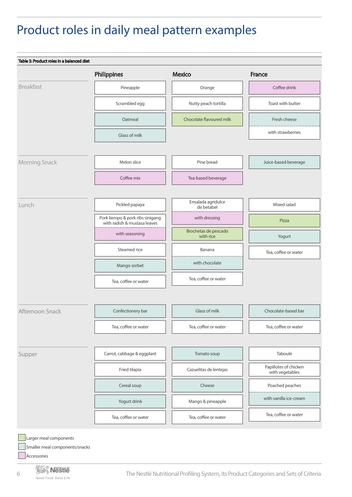# Product roles in daily meal pattern examples

| Table 3: Product roles in a balanced diet |                                                                  |                                   |                                          |
|-------------------------------------------|------------------------------------------------------------------|-----------------------------------|------------------------------------------|
|                                           | <b>Philippines</b>                                               | <b>Mexico</b>                     | <b>France</b>                            |
| <b>Breakfast</b>                          | Pineapple                                                        | Orange                            | Coffee drink                             |
|                                           | Scrambled egg                                                    | Nutty peach tortilla              | Toast with butter                        |
|                                           | Oatmeal                                                          | Chocolate flavoured milk          | Fresh cheese                             |
|                                           | Glass of milk                                                    |                                   | with strawberries                        |
|                                           |                                                                  |                                   |                                          |
| Morning Snack                             | Melon slice                                                      | Pine bread                        | Juice-based beverage                     |
|                                           | Coffee mix                                                       | Tea-based beverage                |                                          |
| Lunch                                     | Pickled papaya                                                   | Ensalada agridulce<br>de betabel  | Mixed salad                              |
|                                           | Pork liempo & pork ribs sinigang<br>with radish & mustasa leaves | with dressing                     | Pizza                                    |
|                                           | with seasoning                                                   | Brochetas de pescado<br>with rice | Yogurt                                   |
|                                           | Steamed rice                                                     | Banana                            | Tea, coffee or water                     |
|                                           | Mango sorbet                                                     | with chocolate                    |                                          |
|                                           | Tea, coffee or water                                             | Tea, coffee or water              |                                          |
| Afternoon Snack                           | Confectionery bar                                                | Glass of milk                     | Chocolate-based bar                      |
|                                           | Tea, coffee or water                                             | Tea, coffee or water              | Tea, coffee or water                     |
| Supper                                    | Carrot, cabbage & eggplant                                       | Tomato soup                       | Taboulé                                  |
|                                           | Fried tilapia                                                    | Cazuelitas de lentejas            | Papillotes of chicken<br>with vegetables |
|                                           | Cereal soup                                                      | Cheese                            | Poached peaches                          |
|                                           | Yogurt drink                                                     | Mango & pineapple                 | with vanilla ice-cream                   |
|                                           |                                                                  |                                   | Tea, coffee or water                     |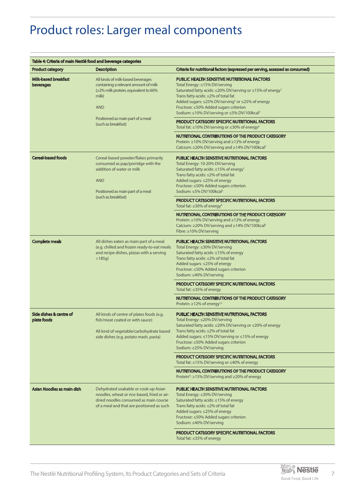# Product roles: Larger meal components

| Table 4: Criteria of main Nestlé food and beverage categories |                                                                                                                                                                               |                                                                                                                                                                                                                                                                                                                                                                        |
|---------------------------------------------------------------|-------------------------------------------------------------------------------------------------------------------------------------------------------------------------------|------------------------------------------------------------------------------------------------------------------------------------------------------------------------------------------------------------------------------------------------------------------------------------------------------------------------------------------------------------------------|
| <b>Product category</b>                                       | <b>Description</b>                                                                                                                                                            | Criteria for nutritional factors (expressed per serving, assessed as consumed)                                                                                                                                                                                                                                                                                         |
| <b>Milk-based breakfast</b><br>beverages                      | All kinds of milk-based beverages<br>containing a relevant amount of milk<br>(≥2% milk protein, equivalent to 60%<br>milk)<br><b>AND</b><br>Positioned as main part of a meal | <b>PUBLIC HEALTH SENSITIVE NUTRITIONAL FACTORS</b><br>Total Energy: ≤15% DV/serving<br>Saturated fatty acids: ≤20% DV/serving or ≤15% of energy <sup>1</sup><br>Trans fatty acids: ≤2% of total fat<br>Added sugars: ≤25% DV/serving <sup>2</sup> or ≤25% of energy<br>Fructose: ≤50% Added sugars criterion<br>Sodium: ≤10% DV/serving or ≤5% DV/100kcal <sup>3</sup> |
|                                                               | (such as breakfast)                                                                                                                                                           | <b>PRODUCT CATEGORY SPECIFIC NUTRITIONAL FACTORS</b><br>Total fat: $\leq$ 10% DV/serving or $\leq$ 30% of energy <sup>4</sup>                                                                                                                                                                                                                                          |
|                                                               |                                                                                                                                                                               | NUTRITIONAL CONTRIBUTIONS OF THE PRODUCT CATEGORY<br>Protein: ≥10% DV/serving and ≥12% of energy<br>Calcium: ≥20% DV/serving and ≥14% DV/100kcal <sup>5</sup>                                                                                                                                                                                                          |
| <b>Cereal-based foods</b>                                     | Cereal-based powder/flakes primarily<br>consumed as pap/porridge with the<br>addition of water or milk<br><b>AND</b><br>Positioned as main part of a meal                     | PUBLIC HEALTH SENSITIVE NUTRITIONAL FACTORS<br>Total Energy: 10-20% DV/serving<br>Saturated fatty acids: ≤15% of energy <sup>1</sup><br>Trans fatty acids: ≤2% of total fat<br>Added sugars: ≤25% of energy<br>Fructose: ≤50% Added sugars criterion<br>Sodium: ≤5% DV/100kcal <sup>3</sup>                                                                            |
|                                                               | (such as breakfast)                                                                                                                                                           | PRODUCT CATEGORY SPECIFIC NUTRITIONAL FACTORS<br>Total fat: $\leq$ 30% of energy <sup>4</sup>                                                                                                                                                                                                                                                                          |
|                                                               |                                                                                                                                                                               | NUTRITIONAL CONTRIBUTIONS OF THE PRODUCT CATEGORY<br>Protein: ≥10% DV/serving and ≥12% of energy<br>Calcium: $\geq$ 20% DV/serving and $\geq$ 14% DV/100kcal <sup>5</sup><br>Fibre: ≥10% DV/serving                                                                                                                                                                    |
| <b>Complete meals</b>                                         | All dishes eaten as main part of a meal<br>(e.g. chilled and frozen ready-to-eat meals<br>and recipe dishes, pizzas with a serving<br>$>185g$ )                               | PUBLIC HEALTH SENSITIVE NUTRITIONAL FACTORS<br>Total Energy: ≤30% DV/serving<br>Saturated fatty acids: ≤15% of energy<br>Trans fatty acids: ≤2% of total fat<br>Added sugars: ≤25% of energy<br>Fructose: <50% Added sugars criterion<br>Sodium: ≤40% DV/serving                                                                                                       |
|                                                               |                                                                                                                                                                               | <b>PRODUCT CATEGORY SPECIFIC NUTRITIONAL FACTORS</b><br>Total fat: ≤35% of energy                                                                                                                                                                                                                                                                                      |
|                                                               |                                                                                                                                                                               | NUTRITIONAL CONTRIBUTIONS OF THE PRODUCT CATEGORY<br>Protein: $\geq$ 12% of energy <sup>12</sup>                                                                                                                                                                                                                                                                       |
| Side dishes & centre of<br>plate foods                        | All kinds of centre of plates foods (e.g.<br>fish/meat coated or with sauce)<br>All kind of vegetable/carbohydrate based<br>side dishes (e.g. potato mash, pasta)             | <b>PUBLIC HEALTH SENSITIVE NUTRITIONAL FACTORS</b><br>$10$ tal Energy: $\leq$ 20% DV/serving<br>Saturated fatty acids: ≤20% DV/serving or ≤20% of energy<br>Trans fatty acids: ≤2% of total fat<br>Added sugars: ≤15% DV/serving or ≤15% of energy<br>Fructose: ≤50% Added sugars criterion<br>Sodium: ≤25% DV/serving                                                 |
|                                                               |                                                                                                                                                                               | <b>PRODUCT CATEGORY SPECIFIC NUTRITIONAL FACTORS</b><br>Total fat: ≤15% DV/serving or ≤40% of energy                                                                                                                                                                                                                                                                   |
|                                                               |                                                                                                                                                                               | NUTRITIONAL CONTRIBUTIONS OF THE PRODUCT CATEGORY<br>Protein <sup>6</sup> : ≥15% DV/serving and ≥20% of energy                                                                                                                                                                                                                                                         |
| Asian Noodles as main dish                                    | Dehydrated soakable or cook-up Asian<br>noodles, wheat or rice-based, fried or air-<br>dried noodles consumed as main course<br>of a meal and that are positioned as such     | PUBLIC HEALTH SENSITIVE NUTRITIONAL FACTORS<br>Total Energy: ≤30% DV/serving<br>Saturated fatty acids: ≤15% of energy<br>Trans fatty acids: $\leq$ 2% of total fat<br>Added sugars: ≤25% of energy<br>Fructose: ≤50% Added sugars criterion<br>Sodium: ≤40% DV/serving                                                                                                 |
|                                                               |                                                                                                                                                                               | <b>PRODUCT CATEGORY SPECIFIC NUTRITIONAL FACTORS</b><br>Total fat: $\leq$ 35% of energy                                                                                                                                                                                                                                                                                |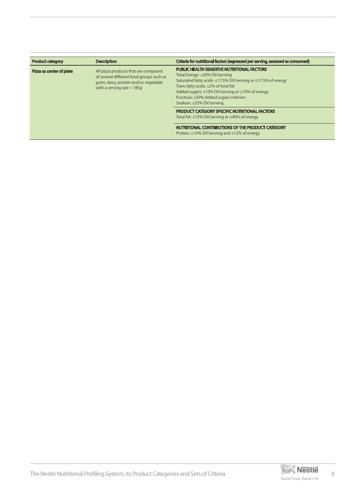| <b>Product category</b>  | <b>Description</b>                                                                                                                                         | Criteria for nutritional factors (expressed per serving, assessed as consumed)                                                                                                                                                                                                                                                        |
|--------------------------|------------------------------------------------------------------------------------------------------------------------------------------------------------|---------------------------------------------------------------------------------------------------------------------------------------------------------------------------------------------------------------------------------------------------------------------------------------------------------------------------------------|
| Pizza as center of plate | All pizza products that are composed<br>of several different food groups such as<br>grain, dairy, protein and/or vegetable<br>with a serving size $<$ 185g | <b>PUBLIC HEALTH SENSITIVE NUTRITIONAL FACTORS</b><br>Total Energy: ≤20% DV/serving<br>Saturated fatty acids: ≤17.5% DV/serving or ≤17.5% of energy<br>Trans fatty acids: $\leq$ 2% of total fat<br>Added sugars: $\leq 10\%$ DV/serving or $\leq 10\%$ of energy<br>Fructose: ≤50% Added sugars criterion<br>Sodium: ≤33% DV/serving |
|                          |                                                                                                                                                            | <b>PRODUCT CATEGORY SPECIFIC NUTRITIONAL FACTORS</b><br>Total fat: ≤15% DV/serving or ≤40% of energy                                                                                                                                                                                                                                  |
|                          |                                                                                                                                                            | NUTRITIONAL CONTRIBUTIONS OF THE PRODUCT CATEGORY<br>Protein: $\geq$ 10% DV/serving and $\geq$ 12% of energy                                                                                                                                                                                                                          |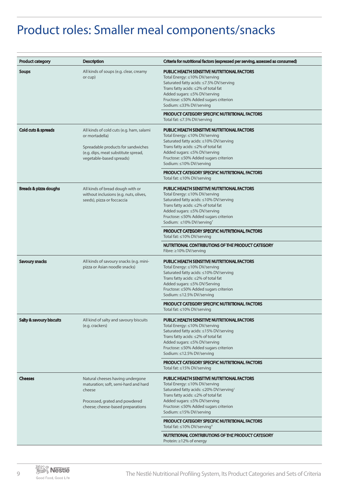# Product roles: Smaller meal components/snacks

| <b>Product category</b>          | <b>Description</b>                                                                                                                                                  | Criteria for nutritional factors (expressed per serving, assessed as consumed)                                                                                                                                                                                                               |
|----------------------------------|---------------------------------------------------------------------------------------------------------------------------------------------------------------------|----------------------------------------------------------------------------------------------------------------------------------------------------------------------------------------------------------------------------------------------------------------------------------------------|
| <b>Soups</b>                     | All kinds of soups (e.g. clear, creamy<br>or cup)                                                                                                                   | <b>PUBLIC HEALTH SENSITIVE NUTRITIONAL FACTORS</b><br>Total Energy: ≤10% DV/serving<br>Saturated fatty acids: ≤7.5% DV/serving<br>Trans fatty acids: ≤2% of total fat<br>Added sugars: ≤5% DV/serving<br>Fructose: ≤50% Added sugars criterion<br>Sodium: ≤33% DV/serving                    |
|                                  |                                                                                                                                                                     | PRODUCT CATEGORY SPECIFIC NUTRITIONAL FACTORS<br>Total fat: ≤7.5% DV/serving                                                                                                                                                                                                                 |
| <b>Cold cuts &amp; spreads</b>   | All kinds of cold cuts (e.g. ham, salami<br>or mortadella)<br>Spreadable products for sandwiches<br>(e.g. dips, meat substitute spread,<br>vegetable-based spreads) | <b>PUBLIC HEALTH SENSITIVE NUTRITIONAL FACTORS</b><br>Total Energy: ≤10% DV/serving<br>Saturated fatty acids: ≤10% DV/serving<br>Trans fatty acids: ≤2% of total fat<br>Added sugars: ≤5% DV/serving<br>Fructose: ≤50% Added sugars criterion<br>Sodium: ≤10% DV/serving                     |
|                                  |                                                                                                                                                                     | <b>PRODUCT CATEGORY SPECIFIC NUTRITIONAL FACTORS</b><br>Total fat: ≤10% DV/serving                                                                                                                                                                                                           |
| <b>Breads &amp; pizza doughs</b> | All kinds of bread dough with or<br>without inclusions (e.g. nuts, olives,<br>seeds), pizza or foccaccia                                                            | <b>PUBLIC HEALTH SENSITIVE NUTRITIONAL FACTORS</b><br>Total Energy: ≤10% DV/serving<br>Saturated fatty acids: ≤10% DV/serving<br>Trans fatty acids: ≤2% of total fat<br>Added sugars: ≤5% DV/serving<br>Fructose: ≤50% Added sugars criterion<br>Sodium: $\leq 10\%$ DV/serving <sup>7</sup> |
|                                  |                                                                                                                                                                     | <b>PRODUCT CATEGORY SPECIFIC NUTRITIONAL FACTORS</b><br>Total fat: $\leq 10\%$ DV/serving                                                                                                                                                                                                    |
|                                  |                                                                                                                                                                     | NUTRITIONAL CONTRIBUTIONS OF THE PRODUCT CATEGORY<br>Fibre: ≥10% DV/serving                                                                                                                                                                                                                  |
| Savoury snacks                   | All kinds of savoury snacks (e.g. mini-<br>pizza or Asian noodle snacks)                                                                                            | <b>PUBLIC HEALTH SENSITIVE NUTRITIONAL FACTORS</b><br>Total Energy: ≤10% DV/serving<br>Saturated fatty acids: ≤10% DV/serving<br>Trans fatty acids: ≤2% of total fat<br>Added sugars: ≤5% DV/Serving<br>Fructose: ≤50% Added sugars criterion<br>Sodium: ≤12.5% DV/serving                   |
|                                  |                                                                                                                                                                     | PRODUCT CATEGORY SPECIFIC NUTRITIONAL FACTORS<br>Total fat: ≤10% DV/serving                                                                                                                                                                                                                  |
| Salty & savoury biscuits         | All kind of salty and savoury biscuits<br>(e.g. crackers)                                                                                                           | PUBLIC HEALTH SENSITIVE NUTRITIONAL FACTORS<br>Total Energy: ≤10% DV/serving<br>Saturated fatty acids: ≤15% DV/serving<br>Trans fatty acids: ≤2% of total fat<br>Added sugars: ≤5% DV/serving<br>Fructose: ≤50% Added sugars criterion<br>Sodium: ≤12.5% DV/serving                          |
|                                  |                                                                                                                                                                     | PRODUCT CATEGORY SPECIFIC NUTRITIONAL FACTORS<br>Total fat: $\leq$ 15% DV/serving                                                                                                                                                                                                            |
| <b>Cheeses</b>                   | Natural cheeses having undergone<br>maturation; soft, semi-hard and hard<br>cheese<br>Processed, grated and powdered<br>cheese; cheese-based preparations           | <b>PUBLIC HEALTH SENSITIVE NUTRITIONAL FACTORS</b><br>Total Energy: ≤10% DV/serving<br>Saturated fatty acids: ≤20% DV/serving <sup>1</sup><br>Trans fatty acids: ≤2% of total fat<br>Added sugars: ≤5% DV/serving<br>Fructose: ≤50% Added sugars criterion                                   |
|                                  |                                                                                                                                                                     | Sodium: ≤15% DV/serving<br><b>PRODUCT CATEGORY SPECIFIC NUTRITIONAL FACTORS</b>                                                                                                                                                                                                              |
|                                  |                                                                                                                                                                     | Total fat: $\leq 10\%$ DV/serving <sup>4</sup><br>NUTRITIONAL CONTRIBUTIONS OF THE PRODUCT CATEGORY                                                                                                                                                                                          |
|                                  |                                                                                                                                                                     | Protein: ≥12% of energy                                                                                                                                                                                                                                                                      |

9 **The Nestlé The Nestlé Nutritional Profiling System, Its Product Categories and Sets of Criteria**<br>Good Food, Good Life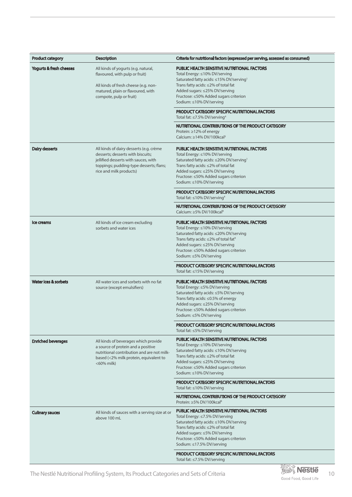| <b>Product category</b>            | <b>Description</b>                                                                                                                                                                         | Criteria for nutritional factors (expressed per serving, assessed as consumed)                                                                                                                                                                                                                                                                                                                                                                 |
|------------------------------------|--------------------------------------------------------------------------------------------------------------------------------------------------------------------------------------------|------------------------------------------------------------------------------------------------------------------------------------------------------------------------------------------------------------------------------------------------------------------------------------------------------------------------------------------------------------------------------------------------------------------------------------------------|
| <b>Yogurts &amp; fresh cheeses</b> | All kinds of yogurts (e.g. natural,<br>flavoured, with pulp or fruit)<br>All kinds of fresh cheese (e.g. non-<br>matured, plain or flavoured, with<br>compote, pulp or fruit)              | <b>PUBLIC HEALTH SENSITIVE NUTRITIONAL FACTORS</b><br>Total Energy: ≤10% DV/serving<br>Saturated fatty acids: ≤15% DV/serving <sup>1</sup><br>Trans fatty acids: ≤2% of total fat<br>Added sugars: ≤25% DV/serving<br>Fructose: ≤50% Added sugars criterion<br>Sodium: ≤10% DV/serving<br>PRODUCT CATEGORY SPECIFIC NUTRITIONAL FACTORS<br>Total fat: $\leq$ 7.5% DV/serving <sup>4</sup><br>NUTRITIONAL CONTRIBUTIONS OF THE PRODUCT CATEGORY |
|                                    |                                                                                                                                                                                            | Protein: ≥12% of energy<br>Calcium: ≥14% DV/100kcal <sup>5</sup>                                                                                                                                                                                                                                                                                                                                                                               |
| Dairy desserts                     | All kinds of dairy desserts (e.g. crème<br>desserts; desserts with biscuits;<br>jellified desserts with sauces, with<br>toppings; pudding-type desserts; flans;<br>rice and milk products) | <b>PUBLIC HEALTH SENSITIVE NUTRITIONAL FACTORS</b><br>Total Energy: ≤10% DV/serving<br>Saturated fatty acids: ≤20% DV/serving <sup>1</sup><br>Trans fatty acids: $\leq$ 2% of total fat<br>Added sugars: ≤25% DV/serving<br>Fructose: ≤50% Added sugars criterion<br>Sodium: ≤10% DV/serving                                                                                                                                                   |
|                                    |                                                                                                                                                                                            | <b>PRODUCT CATEGORY SPECIFIC NUTRITIONAL FACTORS</b><br>Total fat: $\leq 10\%$ DV/serving <sup>4</sup>                                                                                                                                                                                                                                                                                                                                         |
|                                    |                                                                                                                                                                                            | NUTRITIONAL CONTRIBUTIONS OF THE PRODUCT CATEGORY<br>Calcium: ≥5% DV/100kcal <sup>8</sup>                                                                                                                                                                                                                                                                                                                                                      |
| Ice creams                         | All kinds of ice cream excluding<br>sorbets and water ices                                                                                                                                 | <b>PUBLIC HEALTH SENSITIVE NUTRITIONAL FACTORS</b><br>Total Energy: ≤10% DV/serving<br>Saturated fatty acids: ≤20% DV/serving<br>Trans fatty acids: $\leq$ 2% of total fat <sup>9</sup><br>Added sugars: ≤25% DV/serving<br>Fructose: ≤50% Added sugars criterion<br>Sodium: ≤5% DV/serving                                                                                                                                                    |
|                                    |                                                                                                                                                                                            | <b>PRODUCT CATEGORY SPECIFIC NUTRITIONAL FACTORS</b><br>Total fat: ≤15% DV/serving                                                                                                                                                                                                                                                                                                                                                             |
| Water ices & sorbets               | All water ices and sorbets with no fat<br>source (except emulsifiers)                                                                                                                      | <b>PUBLIC HEALTH SENSITIVE NUTRITIONAL FACTORS</b><br>Total Energy: ≤5% DV/serving<br>Saturated fatty acids: ≤5% DV/serving<br>Trans fatty acids: ≤0.5% of energy<br>Added sugars: ≤25% DV/serving<br>Fructose: ≤50% Added sugars criterion<br>Sodium: ≤5% DV/serving                                                                                                                                                                          |
|                                    |                                                                                                                                                                                            | <b>PRODUCT CATEGORY SPECIFIC NUTRITIONAL FACTORS</b><br>Total fat: ≤5% DV/serving                                                                                                                                                                                                                                                                                                                                                              |
| <b>Enriched beverages</b>          | All kinds of beverages which provide<br>a source of protein and a positive<br>nutritional contribution and are not milk-<br>based (<2% milk protein, equivalent to<br><60% milk)           | PUBLIC HEALTH SENSITIVE NUTRITIONAL FACTORS<br>Total Energy: ≤10% DV/serving<br>Saturated fatty acids: ≤10% DV/serving<br>Trans fatty acids: ≤2% of total fat<br>Added sugars: ≤25% DV/serving<br>Fructose: ≤50% Added sugars criterion<br>Sodium: ≤10% DV/serving                                                                                                                                                                             |
|                                    |                                                                                                                                                                                            | <b>PRODUCT CATEGORY SPECIFIC NUTRITIONAL FACTORS</b><br>Total fat: ≤10% DV/serving                                                                                                                                                                                                                                                                                                                                                             |
|                                    |                                                                                                                                                                                            | NUTRITIONAL CONTRIBUTIONS OF THE PRODUCT CATEGORY<br>Protein: ≥5% DV/100kcal <sup>8</sup>                                                                                                                                                                                                                                                                                                                                                      |
| <b>Culinary sauces</b>             | All kinds of sauces with a serving size at or<br>above 100 mL                                                                                                                              | <b>PUBLIC HEALTH SENSITIVE NUTRITIONAL FACTORS</b><br>Total Energy: ≤7.5% DV/serving<br>Saturated fatty acids: ≤10% DV/serving<br>Trans fatty acids: ≤2% of total fat<br>Added sugars: ≤5% DV/serving<br>Fructose: ≤50% Added sugars criterion<br>Sodium: ≤17.5% DV/serving                                                                                                                                                                    |
|                                    |                                                                                                                                                                                            | PRODUCT CATEGORY SPECIFIC NUTRITIONAL FACTORS<br>Total fat: ≤7.5% DV/serving                                                                                                                                                                                                                                                                                                                                                                   |

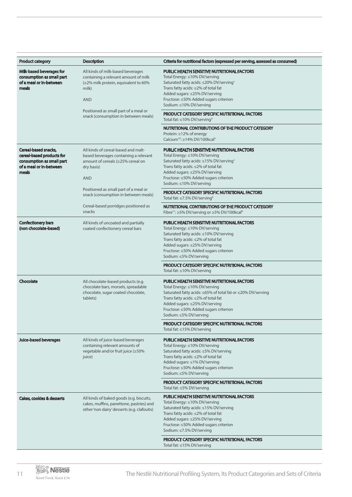| <b>Product category</b>                                                                                                   | <b>Description</b>                                                                                                                            | Criteria for nutritional factors (expressed per serving, assessed as consumed)                                                                                                                                                                                                                |
|---------------------------------------------------------------------------------------------------------------------------|-----------------------------------------------------------------------------------------------------------------------------------------------|-----------------------------------------------------------------------------------------------------------------------------------------------------------------------------------------------------------------------------------------------------------------------------------------------|
| Milk-based beverages for<br>consumption as small part<br>of a meal or in-between<br>meals                                 | All kinds of milk-based beverages<br>containing a relevant amount of milk<br>(≥2% milk protein, equivalent to 60%<br>milk)<br><b>AND</b>      | <b>PUBLIC HEALTH SENSITIVE NUTRITIONAL FACTORS</b><br>Total Energy: ≤10% DV/serving<br>Saturated fatty acids: ≤20% DV/serving <sup>1</sup><br>Trans fatty acids: ≤2% of total fat<br>Added sugars: ≤25% DV/serving<br>Fructose: ≤50% Added sugars criterion<br>Sodium: ≤10% DV/serving        |
|                                                                                                                           | Positioned as small part of a meal or<br>snack (consumption in between meals)                                                                 | <b>PRODUCT CATEGORY SPECIFIC NUTRITIONAL FACTORS</b><br>Total fat: ≤10% DV/serving <sup>4</sup>                                                                                                                                                                                               |
|                                                                                                                           |                                                                                                                                               | NUTRITIONAL CONTRIBUTIONS OF THE PRODUCT CATEGORY<br>Protein: ≥12% of energy<br>Calcium <sup>10</sup> : $\geq$ 14% DV/100kcal <sup>5</sup>                                                                                                                                                    |
| <b>Cereal-based snacks,</b><br>cereal-based products for<br>consumption as small part<br>of a meal or in-between<br>meals | All kinds of cereal-based and malt-<br>based beverages containing a relevant<br>amount of cereals (≥25% cereal on<br>dry basis)<br><b>AND</b> | <b>PUBLIC HEALTH SENSITIVE NUTRITIONAL FACTORS</b><br>Total Energy: ≤10% DV/serving<br>Saturated fatty acids: ≤15% DV/serving <sup>1</sup><br>Trans fatty acids: ≤2% of total fat<br>Added sugars: ≤25% DV/serving<br>Fructose: ≤50% Added sugars criterion<br>Sodium: ≤10% DV/serving        |
|                                                                                                                           | Positioned as small part of a meal or<br>snack (consumption in between meals)                                                                 | <b>PRODUCT CATEGORY SPECIFIC NUTRITIONAL FACTORS</b><br>Total fat: ≤7.5% DV/serving <sup>4</sup>                                                                                                                                                                                              |
|                                                                                                                           | Cereal-based porridges positioned as<br>snacks                                                                                                | NUTRITIONAL CONTRIBUTIONS OF THE PRODUCT CATEGORY<br>Fibre <sup>11</sup> : ≥5% DV/serving or ≥5% DV/100kcal <sup>8</sup>                                                                                                                                                                      |
| <b>Confectionery bars</b><br>(non chocolate-based)                                                                        | All kinds of uncoated and partially<br>coated confectionery cereal bars                                                                       | <b>PUBLIC HEALTH SENSITIVE NUTRITIONAL FACTORS</b><br>Total Energy: ≤10% DV/serving<br>Saturated fatty acids: ≤10% DV/serving<br>Trans fatty acids: ≤2% of total fat<br>Added sugars: ≤25% DV/serving<br>Fructose: ≤50% Added sugars criterion<br>Sodium: ≤5% DV/serving                      |
|                                                                                                                           |                                                                                                                                               | <b>PRODUCT CATEGORY SPECIFIC NUTRITIONAL FACTORS</b><br>Total fat: ≤10% DV/serving                                                                                                                                                                                                            |
| Chocolate                                                                                                                 | All chocolate-based products (e.g.<br>chocolate bars, morsels, spreadable<br>chocolate, sugar coated chocolate,<br>tablets)                   | <b>PUBLIC HEALTH SENSITIVE NUTRITIONAL FACTORS</b><br>Total Energy: ≤10% DV/serving<br>Saturated fatty acids: ≤65% of total fat or ≤20% DV/serving<br>Trans fatty acids: ≤2% of total fat<br>Added sugars: ≤25% DV/serving<br>Fructose: ≤50% Added sugars criterion<br>Sodium: ≤5% DV/serving |
|                                                                                                                           |                                                                                                                                               | <b>PRODUCT CATEGORY SPECIFIC NUTRITIONAL FACTORS</b><br>Total fat: $\leq$ 15% DV/serving                                                                                                                                                                                                      |
| <b>Juice-based beverages</b>                                                                                              | All kinds of juice-based beverages<br>containing relevant amounts of<br>vegetable and/or fruit juice (≥50%<br>juice)                          | <b>PUBLIC HEALTH SENSITIVE NUTRITIONAL FACTORS</b><br>Total Energy: ≤10% DV/serving<br>Saturated fatty acids: ≤5% DV/serving<br>Trans fatty acids: ≤2% of total fat<br>Added sugars: ≤1% DV/serving<br>Fructose: ≤50% Added sugars criterion<br>Sodium: ≤5% DV/serving                        |
|                                                                                                                           |                                                                                                                                               | <b>PRODUCT CATEGORY SPECIFIC NUTRITIONAL FACTORS</b><br>Total fat: ≤5% DV/serving                                                                                                                                                                                                             |
| <b>Cakes, cookies &amp; desserts</b>                                                                                      | All kinds of baked goods (e.g. biscuits,<br>cakes, muffins, panettone, pastries) and<br>other 'non dairy' desserts (e.g. clafoutis)           | <b>PUBLIC HEALTH SENSITIVE NUTRITIONAL FACTORS</b><br>Total Energy: ≤10% DV/serving<br>Saturated fatty acids: ≤15% DV/serving<br>Trans fatty acids: ≤2% of total fat<br>Added sugars: ≤25% DV/serving<br>Fructose: ≤50% Added sugars criterion<br>Sodium: ≤7.5% DV/serving                    |
|                                                                                                                           |                                                                                                                                               | <b>PRODUCT CATEGORY SPECIFIC NUTRITIONAL FACTORS</b><br>Total fat: $\leq$ 15% DV/serving                                                                                                                                                                                                      |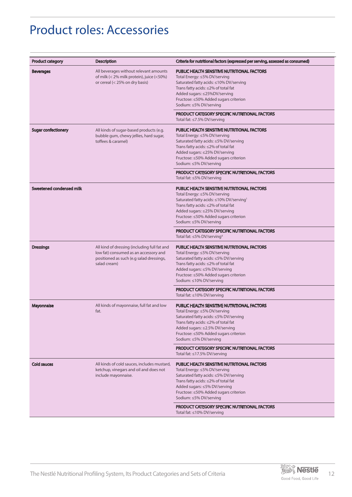# Product roles: Accessories

| <b>Product category</b>    | <b>Description</b>                                                                                                                                | Criteria for nutritional factors (expressed per serving, assessed as consumed)                                                                                                                                                                                                       |
|----------------------------|---------------------------------------------------------------------------------------------------------------------------------------------------|--------------------------------------------------------------------------------------------------------------------------------------------------------------------------------------------------------------------------------------------------------------------------------------|
| <b>Beverages</b>           | All beverages without relevant amounts<br>of milk (< 2% milk protein), juice (<50%)<br>or cereal (< 25% on dry basis)                             | <b>PUBLIC HEALTH SENSITIVE NUTRITIONAL FACTORS</b><br>Total Energy: ≤5% DV/serving<br>Saturated fatty acids: ≤10% DV/serving<br>Trans fatty acids: ≤2% of total fat<br>Added sugars: ≤25%DV/serving<br>Fructose: ≤50% Added sugars criterion<br>Sodium: ≤5% DV/serving               |
|                            |                                                                                                                                                   | <b>PRODUCT CATEGORY SPECIFIC NUTRITIONAL FACTORS</b><br>Total fat: ≤7.5% DV/serving                                                                                                                                                                                                  |
| <b>Sugar confectionery</b> | All kinds of sugar-based products (e.g.<br>bubble gum, chewy jellies, hard sugar,<br>toffees & caramel)                                           | <b>PUBLIC HEALTH SENSITIVE NUTRITIONAL FACTORS</b><br>Total Energy: ≤5% DV/serving<br>Saturated fatty acids: ≤5% DV/serving<br>Trans fatty acids: ≤2% of total fat<br>Added sugars: ≤25% DV/serving<br>Fructose: <50% Added sugars criterion<br>Sodium: ≤5% DV/serving               |
|                            |                                                                                                                                                   | <b>PRODUCT CATEGORY SPECIFIC NUTRITIONAL FACTORS</b><br>Total fat: ≤5% DV/serving                                                                                                                                                                                                    |
| Sweetened condensed milk   |                                                                                                                                                   | <b>PUBLIC HEALTH SENSITIVE NUTRITIONAL FACTORS</b><br>Total Energy: ≤5% DV/serving<br>Saturated fatty acids: ≤10% DV/serving <sup>1</sup><br>Trans fatty acids: ≤2% of total fat<br>Added sugars: ≤25% DV/serving<br>Fructose: ≤50% Added sugars criterion<br>Sodium: ≤5% DV/serving |
|                            |                                                                                                                                                   | <b>PRODUCT CATEGORY SPECIFIC NUTRITIONAL FACTORS</b><br>Total fat: $\leq$ 5% DV/serving <sup>4</sup>                                                                                                                                                                                 |
| <b>Dressings</b>           | All kind of dressing (including full fat and<br>low fat) consumed as an accessory and<br>positioned as such (e.g salad dressings,<br>salad cream) | <b>PUBLIC HEALTH SENSITIVE NUTRITIONAL FACTORS</b><br>Total Energy: ≤5% DV/serving<br>Saturated fatty acids: ≤5% DV/serving<br>Trans fatty acids: ≤2% of total fat<br>Added sugars: ≤5% DV/serving<br>Fructose: ≤50% Added sugars criterion<br>Sodium: ≤10% DV/serving               |
|                            |                                                                                                                                                   | <b>PRODUCT CATEGORY SPECIFIC NUTRITIONAL FACTORS</b><br>Total fat: ≤10% DV/serving                                                                                                                                                                                                   |
| <b>Mayonnaise</b>          | All kinds of mayonnaise, full fat and low<br>fat.                                                                                                 | PUBLIC HEALTH SENSITIVE NUTRITIONAL FACTORS<br>Total Energy: ≤5% DV/serving<br>Saturated fatty acids: ≤5% DV/serving<br>Trans fatty acids: ≤2% of total fat<br>Added sugars: ≤2.5% DV/serving<br>Fructose: ≤50% Added sugars criterion<br>Sodium: ≤5% DV/serving                     |
|                            |                                                                                                                                                   | <b>PRODUCT CATEGORY SPECIFIC NUTRITIONAL FACTORS</b><br>Total fat: ≤17.5% DV/serving                                                                                                                                                                                                 |
| <b>Cold sauces</b>         | All kinds of cold sauces, includes mustard,<br>ketchup, vinegars and oil and does not<br>include mayonnaise.                                      | <b>PUBLIC HEALTH SENSITIVE NUTRITIONAL FACTORS</b><br>Total Energy: ≤5% DV/serving<br>Saturated fatty acids: ≤5% DV/serving<br>Trans fatty acids: ≤2% of total fat<br>Added sugars: ≤5% DV/serving<br>Fructose: ≤50% Added sugars criterion<br>Sodium: ≤5% DV/serving                |
|                            |                                                                                                                                                   | <b>PRODUCT CATEGORY SPECIFIC NUTRITIONAL FACTORS</b><br>Total fat: ≤10% DV/serving                                                                                                                                                                                                   |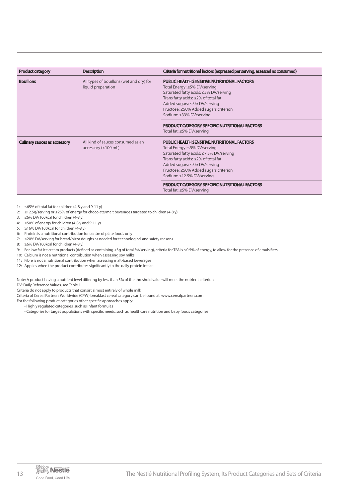| <b>Product category</b>             | <b>Description</b>                                             | Criteria for nutritional factors (expressed per serving, assessed as consumed)                                                                                                                                                                                             |
|-------------------------------------|----------------------------------------------------------------|----------------------------------------------------------------------------------------------------------------------------------------------------------------------------------------------------------------------------------------------------------------------------|
| <b>Bouillons</b>                    | All types of bouillons (wet and dry) for<br>liquid preparation | <b>PUBLIC HEALTH SENSITIVE NUTRITIONAL FACTORS</b><br>Total Energy: ≤5% DV/serving<br>Saturated fatty acids: ≤5% DV/serving<br>Trans fatty acids: ≤2% of total fat<br>Added sugars: ≤5% DV/serving<br>Fructose: ≤50% Added sugars criterion<br>Sodium: ≤33% DV/serving     |
|                                     |                                                                | <b>PRODUCT CATEGORY SPECIFIC NUTRITIONAL FACTORS</b><br>Total fat: ≤5% DV/serving                                                                                                                                                                                          |
| <b>Culinary sauces as accessory</b> | All kind of sauces consumed as an<br>accessory (<100 mL)       | <b>PUBLIC HEALTH SENSITIVE NUTRITIONAL FACTORS</b><br>Total Energy: ≤5% DV/serving<br>Saturated fatty acids: ≤7.5% DV/serving<br>Trans fatty acids: ≤2% of total fat<br>Added sugars: ≤5% DV/serving<br>Fructose: ≤50% Added sugars criterion<br>Sodium: ≤12.5% DV/serving |
|                                     |                                                                | <b>PRODUCT CATEGORY SPECIFIC NUTRITIONAL FACTORS</b><br>Total fat: ≤5% DV/serving                                                                                                                                                                                          |

- 1: ≤65% of total fat for children (4-8 y and 9-11 y)
- 2: ≤12.5g/serving or ≤25% of energy for chocolate/malt beverages targeted to children (4-8 y)
- 3: ≤6% DV/100kcal for children  $(4-8 y)$
- 4: ≤50% of energy for children (4-8 y and 9-11 y)
- 5: ≥16% DV/100kcal for children (4-8 y)
- 6: Protein is a nutritional contribution for centre of plate foods only
- 7: ≤20% DV/serving for bread/pizza doughs as needed for technological and safety reasons
- 8: ≥6% DV/100kcal for children (4-8 y)
- 9: For low fat Ice cream products (defined as containing <3g of total fat/serving), criteria for TFA is ≤0.5% of energy, to allow for the presence of emulsifiers
- 10: Calcium is not a nutritional contribution when assessing soy milks
- 11: Fibre is not a nutritional contribution when assessing malt-based beverages
- 12: Applies when the product contributes significantly to the daily protein intake

Note: A product having a nutrient level differing by less than 5% of the threshold value will meet the nutrient criterion

DV: Daily Reference Values, see Table 1

Criteria do not apply to products that consist almost entirely of whole milk

- Criteria of Cereal Partners Worldwide (CPW) breakfast cereal category can be found at: www.cerealpartners.com
- For the following product categories other specific approaches apply:

• Highly regulated categories, such as infant formulas

• Categories for target populations with specific needs, such as healthcare nutrition and baby foods categories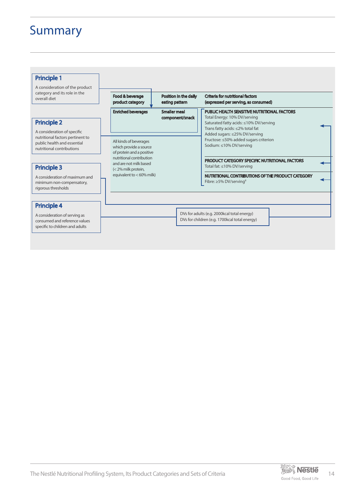## Summary

#### Principle 1

A consideration of the product category and its role in the overall diet

### Principle 2

A consideration of specific nutritional factors pertinent to public health and essential nutritional contributions

| <b>Principle 3</b> |  |  |
|--------------------|--|--|
|                    |  |  |

A consideration of maximum and minimum non-compensatory, rigorous thresholds

### Principle 4

A consideration of serving as consumed and reference values specific to children and adults

| Food & beverage<br>product category                                                                          | Position in the daily<br>eating pattern | <b>Criteria for nutritional factors</b><br>(expressed per serving, as consumed)                                                                                                                                                                                       |  |
|--------------------------------------------------------------------------------------------------------------|-----------------------------------------|-----------------------------------------------------------------------------------------------------------------------------------------------------------------------------------------------------------------------------------------------------------------------|--|
| <b>Enriched beverages</b><br>All kinds of beverages<br>which provide a source<br>of protein and a positive   | <b>Smaller meal</b><br>component/snack  | <b>PUBLIC HEALTH SENSITIVE NUTRITIONAL FACTORS</b><br>Total Energy: 10% DV/serving<br>Saturated fatty acids: ≤10% DV/serving<br>Trans fatty acids: ≤2% total fat<br>Added sugars: ≤25% DV/serving<br>Fructose: ≤50% added sugars criterion<br>Sodium: ≤10% DV/serving |  |
| nutritional contribution<br>and are not milk based<br>$\leq$ 2% milk protein,<br>equivalent to $<$ 60% milk) |                                         | PRODUCT CATEGORY SPECIFIC NUTRITIONAL FACTORS<br>Total fat: ≤10% DV/serving<br>NUTRITIONAL CONTRIBUTIONS OF THE PRODUCT CATEGORY<br>Fibre: $\geq$ 5% DV/serving <sup>8</sup>                                                                                          |  |
|                                                                                                              |                                         |                                                                                                                                                                                                                                                                       |  |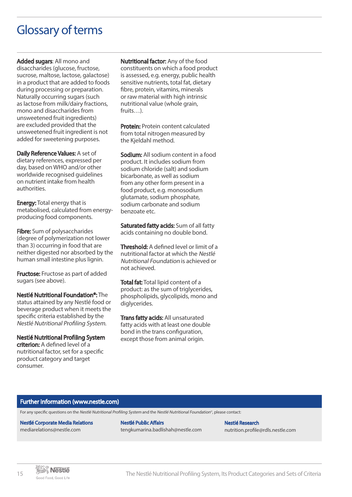## Glossary of terms

Added sugars: All mono and disaccharides (glucose, fructose, sucrose, maltose, lactose, galactose) in a product that are added to foods during processing or preparation. Naturally occurring sugars (such as lactose from milk/dairy fractions, mono and disaccharides from unsweetened fruit ingredients) are excluded provided that the unsweetened fruit ingredient is not added for sweetening purposes.

Daily Reference Values: A set of dietary references, expressed per day, based on WHO and/or other worldwide recognised guidelines on nutrient intake from health authorities.

**Energy: Total energy that is** metabolised, calculated from energyproducing food components.

Fibre: Sum of polysaccharides (degree of polymerization not lower than 3) occurring in food that are neither digested nor absorbed by the human small intestine plus lignin.

**Fructose:** Fructose as part of added sugars (see above).

Nestlé Nutritional Foundation©: The status attained by any Nestlé food or beverage product when it meets the specific criteria established by the Nestlé Nutritional Profiling System.

Nestlé Nutritional Profiling System criterion: A defined level of a

nutritional factor, set for a specific product category and target consumer.

Nutritional factor: Any of the food constituents on which a food product is assessed, e.g. energy, public health sensitive nutrients, total fat, dietary fibre, protein, vitamins, minerals or raw material with high intrinsic nutritional value (whole grain, fruits…).

Protein: Protein content calculated from total nitrogen measured by the Kjeldahl method.

Sodium: All sodium content in a food product. It includes sodium from sodium chloride (salt) and sodium bicarbonate, as well as sodium from any other form present in a food product, e.g. monosodium glutamate, sodium phosphate, sodium carbonate and sodium benzoate etc.

Saturated fatty acids: Sum of all fatty acids containing no double bond.

Threshold: A defined level or limit of a nutritional factor at which the Nestlé Nutritional Foundation is achieved or not achieved.

Total fat: Total lipid content of a product: as the sum of triglycerides, phospholipids, glycolipids, mono and diglycerides.

**Trans fatty acids: All unsaturated** fatty acids with at least one double bond in the trans configuration, except those from animal origin.

#### Further information (www.nestle.com)

For any specific questions on the Nestlé Nutritional Profiling System and the Nestlé Nutritional Foundation®, please contact:

#### Nestlé Corporate Media Relations mediarelations@nestle.com

Nestlé Public Affairs tengkumarina.badlishah@nestle.com

Nestlé Research nutrition.profile@rdls.nestle.com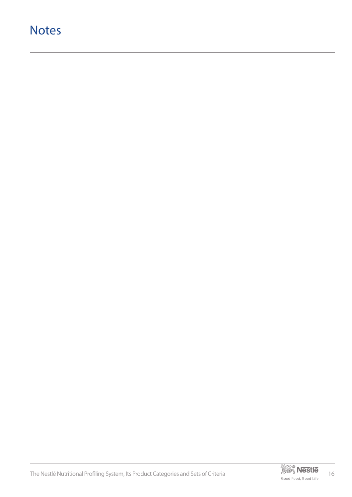# **Notes**